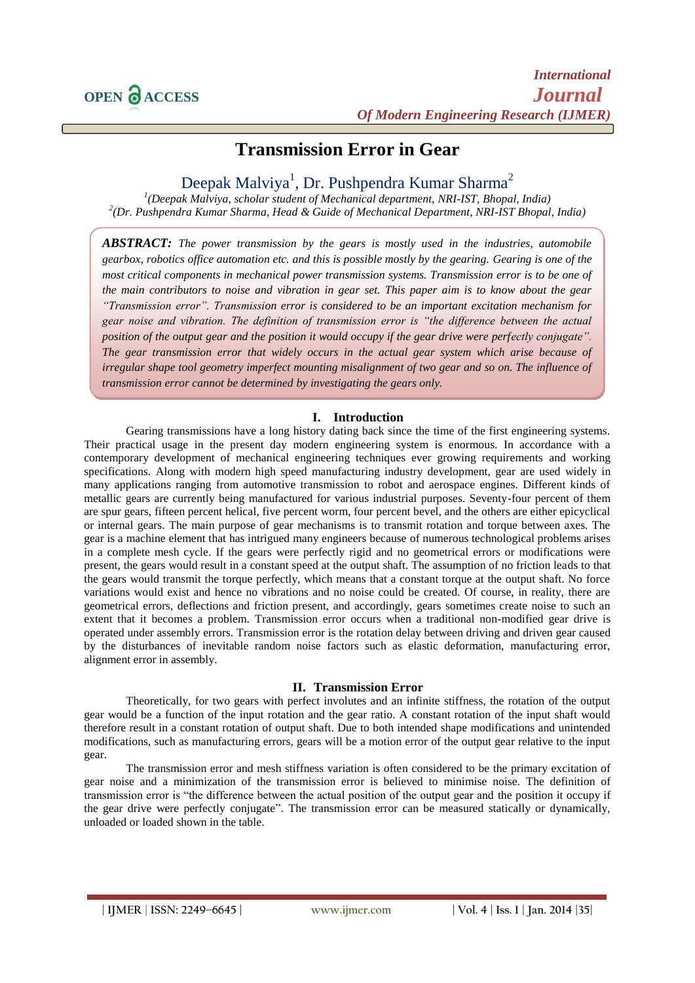# **Transmission Error in Gear**

## Deepak Malviya<sup>1</sup>, Dr. Pushpendra Kumar Sharma<sup>2</sup>

*1 (Deepak Malviya, scholar student of Mechanical department, NRI-IST, Bhopal, India) 2 (Dr. Pushpendra Kumar Sharma, Head & Guide of Mechanical Department, NRI-IST Bhopal, India)*

*ABSTRACT: The power transmission by the gears is mostly used in the industries, automobile gearbox, robotics office automation etc. and this is possible mostly by the gearing. Gearing is one of the most critical components in mechanical power transmission systems. Transmission error is to be one of the main contributors to noise and vibration in gear set. This paper aim is to know about the gear "Transmission error". Transmission error is considered to be an important excitation mechanism for gear noise and vibration. The definition of transmission error is "the difference between the actual position of the output gear and the position it would occupy if the gear drive were perfectly conjugate". The gear transmission error that widely occurs in the actual gear system which arise because of irregular shape tool geometry imperfect mounting misalignment of two gear and so on. The influence of transmission error cannot be determined by investigating the gears only.*

## **I. Introduction**

Gearing transmissions have a long history dating back since the time of the first engineering systems. Their practical usage in the present day modern engineering system is enormous. In accordance with a contemporary development of mechanical engineering techniques ever growing requirements and working specifications. Along with modern high speed manufacturing industry development, gear are used widely in many applications ranging from automotive transmission to robot and aerospace engines. Different kinds of metallic gears are currently being manufactured for various industrial purposes. Seventy-four percent of them are spur gears, fifteen percent helical, five percent worm, four percent bevel, and the others are either epicyclical or internal gears. The main purpose of gear mechanisms is to transmit rotation and torque between axes. The gear is a machine element that has intrigued many engineers because of numerous technological problems arises in a complete mesh cycle. If the gears were perfectly rigid and no geometrical errors or modifications were present, the gears would result in a constant speed at the output shaft. The assumption of no friction leads to that the gears would transmit the torque perfectly, which means that a constant torque at the output shaft. No force variations would exist and hence no vibrations and no noise could be created. Of course, in reality, there are geometrical errors, deflections and friction present, and accordingly, gears sometimes create noise to such an extent that it becomes a problem. Transmission error occurs when a traditional non-modified gear drive is operated under assembly errors. Transmission error is the rotation delay between driving and driven gear caused by the disturbances of inevitable random noise factors such as elastic deformation, manufacturing error, alignment error in assembly.

#### **II. Transmission Error**

Theoretically, for two gears with perfect involutes and an infinite stiffness, the rotation of the output gear would be a function of the input rotation and the gear ratio. A constant rotation of the input shaft would therefore result in a constant rotation of output shaft. Due to both intended shape modifications and unintended modifications, such as manufacturing errors, gears will be a motion error of the output gear relative to the input gear.

The transmission error and mesh stiffness variation is often considered to be the primary excitation of gear noise and a minimization of the transmission error is believed to minimise noise. The definition of transmission error is "the difference between the actual position of the output gear and the position it occupy if the gear drive were perfectly conjugate". The transmission error can be measured statically or dynamically, unloaded or loaded shown in the table.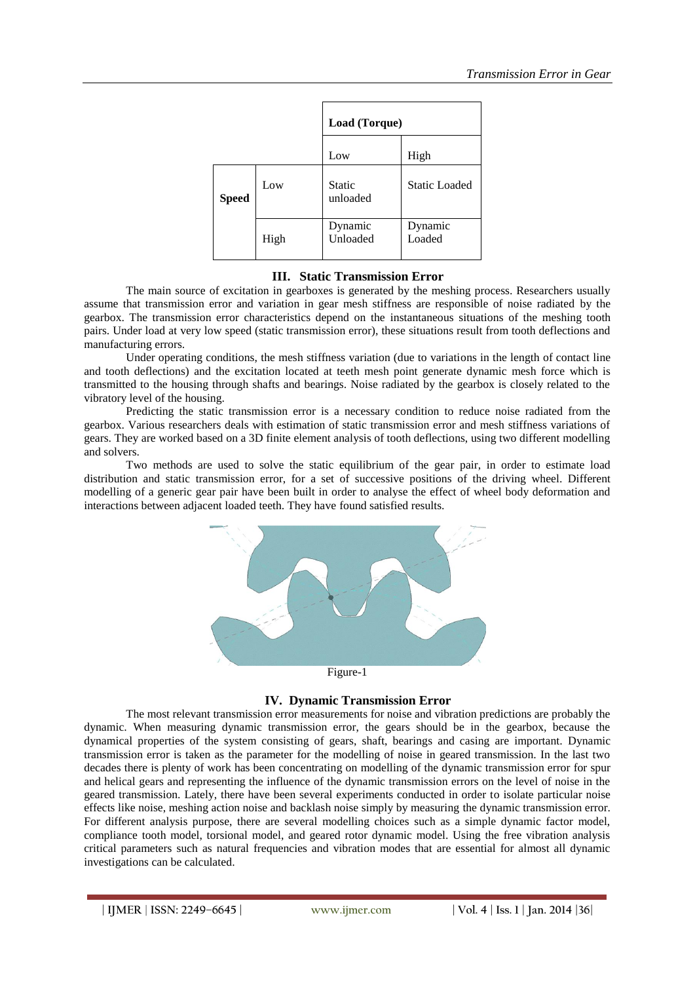|              |      | Load (Torque)             |                      |
|--------------|------|---------------------------|----------------------|
|              |      | Low                       | High                 |
| <b>Speed</b> | Low  | <b>Static</b><br>unloaded | <b>Static Loaded</b> |
|              | High | Dynamic<br>Unloaded       | Dynamic<br>Loaded    |

## **III. Static Transmission Error**

The main source of excitation in gearboxes is generated by the meshing process. Researchers usually assume that transmission error and variation in gear mesh stiffness are responsible of noise radiated by the gearbox. The transmission error characteristics depend on the instantaneous situations of the meshing tooth pairs. Under load at very low speed (static transmission error), these situations result from tooth deflections and manufacturing errors.

Under operating conditions, the mesh stiffness variation (due to variations in the length of contact line and tooth deflections) and the excitation located at teeth mesh point generate dynamic mesh force which is transmitted to the housing through shafts and bearings. Noise radiated by the gearbox is closely related to the vibratory level of the housing.

Predicting the static transmission error is a necessary condition to reduce noise radiated from the gearbox. Various researchers deals with estimation of static transmission error and mesh stiffness variations of gears. They are worked based on a 3D finite element analysis of tooth deflections, using two different modelling and solvers.

Two methods are used to solve the static equilibrium of the gear pair, in order to estimate load distribution and static transmission error, for a set of successive positions of the driving wheel. Different modelling of a generic gear pair have been built in order to analyse the effect of wheel body deformation and interactions between adjacent loaded teeth. They have found satisfied results.



## **IV. Dynamic Transmission Error**

The most relevant transmission error measurements for noise and vibration predictions are probably the dynamic. When measuring dynamic transmission error, the gears should be in the gearbox, because the dynamical properties of the system consisting of gears, shaft, bearings and casing are important. Dynamic transmission error is taken as the parameter for the modelling of noise in geared transmission. In the last two decades there is plenty of work has been concentrating on modelling of the dynamic transmission error for spur and helical gears and representing the influence of the dynamic transmission errors on the level of noise in the geared transmission. Lately, there have been several experiments conducted in order to isolate particular noise effects like noise, meshing action noise and backlash noise simply by measuring the dynamic transmission error. For different analysis purpose, there are several modelling choices such as a simple dynamic factor model, compliance tooth model, torsional model, and geared rotor dynamic model. Using the free vibration analysis critical parameters such as natural frequencies and vibration modes that are essential for almost all dynamic investigations can be calculated.